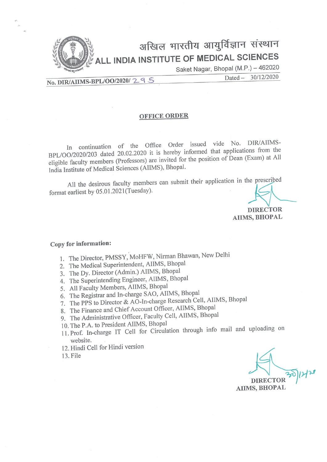

No. DIR/AIIMS-BPL/00/2020/29S

#### 30/12/2020  $Dated -$

#### **OFFICE ORDER**

In continuation of the Office Order issued vide No. DIR/AIIMS-BPL/OO/2020/203 dated 20.02.2020 it is hereby informed that applications from the eligible faculty members (Professors) are invited for the position of Dean (Exam) at All India Institute of Medical Sciences (AIIMS), Bhopal.

All the desirous faculty members can submit their application in the prescribed format earliest by 05.01.2021(Tuesday).

> **DIRECTOR** AIIMS, BHOPAL

#### Copy for information:

- 1. The Director, PMSSY, MoHFW, Nirman Bhawan, New Delhi
- 2. The Medical Superintendent, AIIMS, Bhopal
- 3. The Dy. Director (Admin.) AIIMS, Bhopal
- 4. The Superintending Engineer, AIIMS, Bhopal
- 5. All Faculty Members, AIIMS, Bhopal
- 6. The Registrar and In-charge SAO, AIIMS, Bhopal
- 7. The PPS to Director & AO-In-charge Research Cell, AIIMS, Bhopal
- 8. The Finance and Chief Account Officer, AIIMS, Bhopal
- 9. The Administrative Officer, Faculty Cell, AIIMS, Bhopal
- 10. The P.A. to President AIIMS, Bhopal
- 11. Prof. In-charge IT Cell for Circulation through info mail and uploading on website.
- 12. Hindi Cell for Hindi version
- 13. File

**DIRECTOR AIIMS, BHOPAL**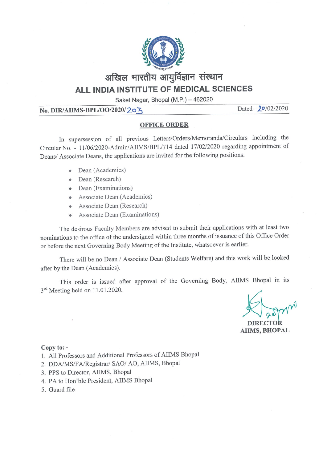

Saket Nagar, Bhopal (M.P.) - 462020

## No. DIR/AIIMS-BPL/OO/2020/20ろ

Dated  $-20/02/2020$ 

### **OFFICE ORDER**

In supersession of all previous Letters/Orders/Memoranda/Circulars including the Circular No. - 11/06/2020-Admin/AIIMS/BPL/714 dated 17/02/2020 regarding appointment of Deans/ Associate Deans, the applications are invited for the following positions:

- Dean (Academics)
- Dean (Research)
- Dean (Examinations)
- Associate Dean (Academics)
- Associate Dean (Research) ò
- Associate Dean (Examinations)  $\bullet$

The desirous Faculty Members are advised to submit their applications with at least two nominations to the office of the undersigned within three months of issuance of this Office Order or before the next Governing Body Meeting of the Institute, whatsoever is earlier.

There will be no Dean / Associate Dean (Students Welfare) and this work will be looked after by the Dean (Academics).

This order is issued after approval of the Governing Body, AIIMS Bhopal in its 3<sup>rd</sup> Meeting held on 11.01.2020.

**DIRECTOR AIIMS, BHOPAL** 

#### Copy to: -

- 1. All Professors and Additional Professors of AIIMS Bhopal
- 2. DDA/MS/FA/Registrar/ SAO/ AO, AIIMS, Bhopal
- 3. PPS to Director, AIIMS, Bhopal
- 4. PA to Hon'ble President, AIIMS Bhopal
- 5. Guard file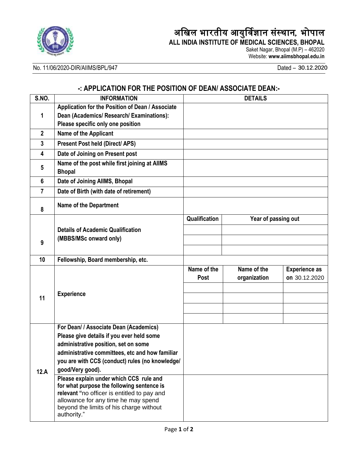

# अखिल भारतीय आयुर्विज्ञान संस्थान, भोपाल

**ALL INDIA INSTITUTE OF MEDICAL SCIENCES, BHOPAL** Saket Nagar, Bhopal (M.P) – 462020

Website: **www.aiimsbhopal.edu.in**

# No. 11/06/2020-DIR/AIIMS/BPL/947

 $Dated - 30.12.2020$ 

# **-: APPLICATION FOR THE POSITION OF DEAN/ ASSOCIATE DEAN:-**

| S.NO.          | <b>INFORMATION</b>                                                                    | <b>DETAILS</b> |                     |                      |
|----------------|---------------------------------------------------------------------------------------|----------------|---------------------|----------------------|
| 1              | Application for the Position of Dean / Associate                                      |                |                     |                      |
|                | Dean (Academics/ Research/ Examinations):                                             |                |                     |                      |
|                | Please specific only one position                                                     |                |                     |                      |
| $\mathbf{2}$   | Name of the Applicant                                                                 |                |                     |                      |
| $\mathbf{3}$   | <b>Present Post held (Direct/ APS)</b>                                                |                |                     |                      |
| 4              | Date of Joining on Present post                                                       |                |                     |                      |
| 5              | Name of the post while first joining at AlIMS<br><b>Bhopal</b>                        |                |                     |                      |
| 6              | Date of Joining AllMS, Bhopal                                                         |                |                     |                      |
| $\overline{7}$ | Date of Birth (with date of retirement)                                               |                |                     |                      |
| 8              | <b>Name of the Department</b>                                                         |                |                     |                      |
|                |                                                                                       | Qualification  | Year of passing out |                      |
|                | <b>Details of Academic Qualification</b>                                              |                |                     |                      |
| 9              | (MBBS/MSc onward only)                                                                |                |                     |                      |
|                |                                                                                       |                |                     |                      |
| 10             | Fellowship, Board membership, etc.                                                    |                |                     |                      |
| 11             |                                                                                       | Name of the    | Name of the         | <b>Experience as</b> |
|                |                                                                                       | Post           | organization        | on 30.12.2020        |
|                |                                                                                       |                |                     |                      |
|                | <b>Experience</b>                                                                     |                |                     |                      |
|                |                                                                                       |                |                     |                      |
|                |                                                                                       |                |                     |                      |
|                | For Dean/ / Associate Dean (Academics)                                                |                |                     |                      |
| 12.A           | Please give details if you ever held some                                             |                |                     |                      |
|                | administrative position, set on some                                                  |                |                     |                      |
|                | administrative committees, etc and how familiar                                       |                |                     |                      |
|                | you are with CCS (conduct) rules (no knowledge/                                       |                |                     |                      |
|                | good/Very good).                                                                      |                |                     |                      |
|                | Please explain under which CCS rule and<br>for what purpose the following sentence is |                |                     |                      |
|                | relevant "no officer is entitled to pay and                                           |                |                     |                      |
|                | allowance for any time he may spend                                                   |                |                     |                      |
|                | beyond the limits of his charge without                                               |                |                     |                      |
|                | authority."                                                                           |                |                     |                      |